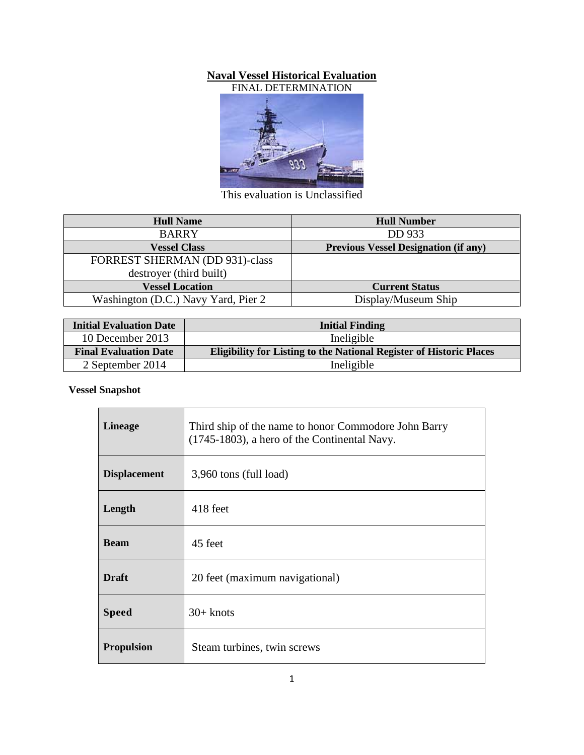#### **Naval Vessel Historical Evaluation**



This evaluation is Unclassified

| <b>Hull Name</b>                    | <b>Hull Number</b>                          |
|-------------------------------------|---------------------------------------------|
| <b>BARRY</b>                        | DD 933                                      |
| <b>Vessel Class</b>                 | <b>Previous Vessel Designation (if any)</b> |
| FORREST SHERMAN (DD 931)-class      |                                             |
| destroyer (third built)             |                                             |
| <b>Vessel Location</b>              | <b>Current Status</b>                       |
| Washington (D.C.) Navy Yard, Pier 2 | Display/Museum Ship                         |

| <b>Initial Evaluation Date</b> | <b>Initial Finding</b>                                                     |  |
|--------------------------------|----------------------------------------------------------------------------|--|
| 10 December 2013               | Ineligible                                                                 |  |
| <b>Final Evaluation Date</b>   | <b>Eligibility for Listing to the National Register of Historic Places</b> |  |
| 2 September 2014               | Ineligible                                                                 |  |

## **Vessel Snapshot**

| <b>Lineage</b>      | Third ship of the name to honor Commodore John Barry<br>(1745-1803), a hero of the Continental Navy. |
|---------------------|------------------------------------------------------------------------------------------------------|
| <b>Displacement</b> | 3,960 tons (full load)                                                                               |
| Length              | 418 feet                                                                                             |
| <b>Beam</b>         | 45 feet                                                                                              |
| <b>Draft</b>        | 20 feet (maximum navigational)                                                                       |
| <b>Speed</b>        | $30+$ knots                                                                                          |
| <b>Propulsion</b>   | Steam turbines, twin screws                                                                          |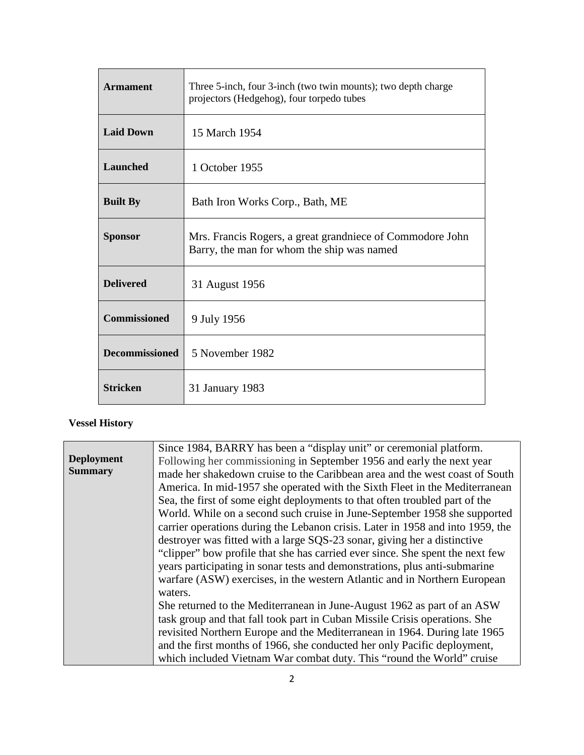| <b>Armament</b>       | Three 5-inch, four 3-inch (two twin mounts); two depth charge<br>projectors (Hedgehog), four torpedo tubes |
|-----------------------|------------------------------------------------------------------------------------------------------------|
| <b>Laid Down</b>      | 15 March 1954                                                                                              |
| <b>Launched</b>       | 1 October 1955                                                                                             |
| <b>Built By</b>       | Bath Iron Works Corp., Bath, ME                                                                            |
| <b>Sponsor</b>        | Mrs. Francis Rogers, a great grandniece of Commodore John<br>Barry, the man for whom the ship was named    |
| <b>Delivered</b>      | 31 August 1956                                                                                             |
| <b>Commissioned</b>   | 9 July 1956                                                                                                |
| <b>Decommissioned</b> | 5 November 1982                                                                                            |
| <b>Stricken</b>       | 31 January 1983                                                                                            |

## **Vessel History**

|                   | Since 1984, BARRY has been a "display unit" or ceremonial platform.            |
|-------------------|--------------------------------------------------------------------------------|
| <b>Deployment</b> | Following her commissioning in September 1956 and early the next year          |
| <b>Summary</b>    | made her shakedown cruise to the Caribbean area and the west coast of South    |
|                   | America. In mid-1957 she operated with the Sixth Fleet in the Mediterranean    |
|                   | Sea, the first of some eight deployments to that often troubled part of the    |
|                   | World. While on a second such cruise in June-September 1958 she supported      |
|                   | carrier operations during the Lebanon crisis. Later in 1958 and into 1959, the |
|                   | destroyer was fitted with a large SQS-23 sonar, giving her a distinctive       |
|                   | "clipper" bow profile that she has carried ever since. She spent the next few  |
|                   | years participating in sonar tests and demonstrations, plus anti-submarine     |
|                   | warfare (ASW) exercises, in the western Atlantic and in Northern European      |
|                   | waters.                                                                        |
|                   | She returned to the Mediterranean in June-August 1962 as part of an ASW        |
|                   | task group and that fall took part in Cuban Missile Crisis operations. She     |
|                   | revisited Northern Europe and the Mediterranean in 1964. During late 1965      |
|                   | and the first months of 1966, she conducted her only Pacific deployment,       |
|                   | which included Vietnam War combat duty. This "round the World" cruise          |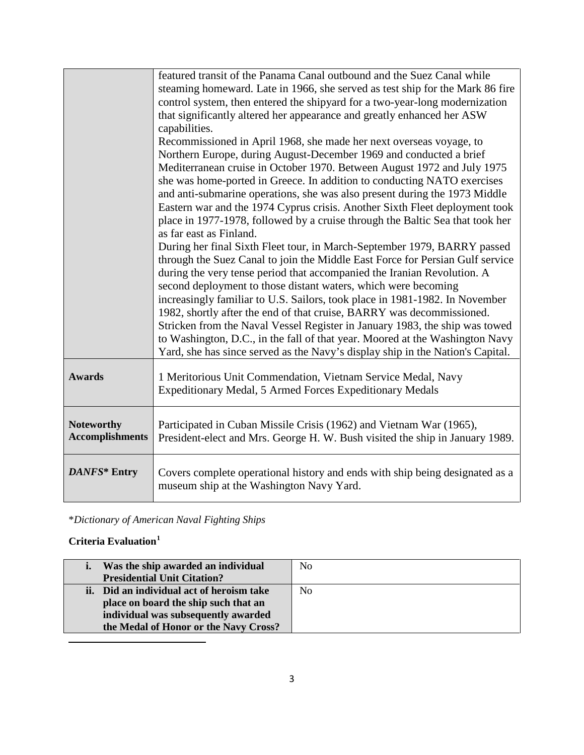|                                             | featured transit of the Panama Canal outbound and the Suez Canal while<br>steaming homeward. Late in 1966, she served as test ship for the Mark 86 fire<br>control system, then entered the shipyard for a two-year-long modernization<br>that significantly altered her appearance and greatly enhanced her ASW<br>capabilities.<br>Recommissioned in April 1968, she made her next overseas voyage, to<br>Northern Europe, during August-December 1969 and conducted a brief<br>Mediterranean cruise in October 1970. Between August 1972 and July 1975<br>she was home-ported in Greece. In addition to conducting NATO exercises<br>and anti-submarine operations, she was also present during the 1973 Middle<br>Eastern war and the 1974 Cyprus crisis. Another Sixth Fleet deployment took<br>place in 1977-1978, followed by a cruise through the Baltic Sea that took her<br>as far east as Finland.<br>During her final Sixth Fleet tour, in March-September 1979, BARRY passed<br>through the Suez Canal to join the Middle East Force for Persian Gulf service<br>during the very tense period that accompanied the Iranian Revolution. A<br>second deployment to those distant waters, which were becoming<br>increasingly familiar to U.S. Sailors, took place in 1981-1982. In November<br>1982, shortly after the end of that cruise, BARRY was decommissioned.<br>Stricken from the Naval Vessel Register in January 1983, the ship was towed<br>to Washington, D.C., in the fall of that year. Moored at the Washington Navy<br>Yard, she has since served as the Navy's display ship in the Nation's Capital. |
|---------------------------------------------|----------------------------------------------------------------------------------------------------------------------------------------------------------------------------------------------------------------------------------------------------------------------------------------------------------------------------------------------------------------------------------------------------------------------------------------------------------------------------------------------------------------------------------------------------------------------------------------------------------------------------------------------------------------------------------------------------------------------------------------------------------------------------------------------------------------------------------------------------------------------------------------------------------------------------------------------------------------------------------------------------------------------------------------------------------------------------------------------------------------------------------------------------------------------------------------------------------------------------------------------------------------------------------------------------------------------------------------------------------------------------------------------------------------------------------------------------------------------------------------------------------------------------------------------------------------------------------------------------------------------------------|
| <b>Awards</b>                               | 1 Meritorious Unit Commendation, Vietnam Service Medal, Navy<br>Expeditionary Medal, 5 Armed Forces Expeditionary Medals                                                                                                                                                                                                                                                                                                                                                                                                                                                                                                                                                                                                                                                                                                                                                                                                                                                                                                                                                                                                                                                                                                                                                                                                                                                                                                                                                                                                                                                                                                         |
| <b>Noteworthy</b><br><b>Accomplishments</b> | Participated in Cuban Missile Crisis (1962) and Vietnam War (1965),<br>President-elect and Mrs. George H. W. Bush visited the ship in January 1989.                                                                                                                                                                                                                                                                                                                                                                                                                                                                                                                                                                                                                                                                                                                                                                                                                                                                                                                                                                                                                                                                                                                                                                                                                                                                                                                                                                                                                                                                              |
| DANFS* Entry                                | Covers complete operational history and ends with ship being designated as a<br>museum ship at the Washington Navy Yard.                                                                                                                                                                                                                                                                                                                                                                                                                                                                                                                                                                                                                                                                                                                                                                                                                                                                                                                                                                                                                                                                                                                                                                                                                                                                                                                                                                                                                                                                                                         |

\**Dictionary of American Naval Fighting Ships*

# **Criteria Evaluation[1](#page-2-0)**

<span id="page-2-0"></span> $\overline{a}$ 

| Was the ship awarded an individual        | No             |
|-------------------------------------------|----------------|
| <b>Presidential Unit Citation?</b>        |                |
| ii. Did an individual act of heroism take | N <sub>0</sub> |
| place on board the ship such that an      |                |
| individual was subsequently awarded       |                |
| the Medal of Honor or the Navy Cross?     |                |